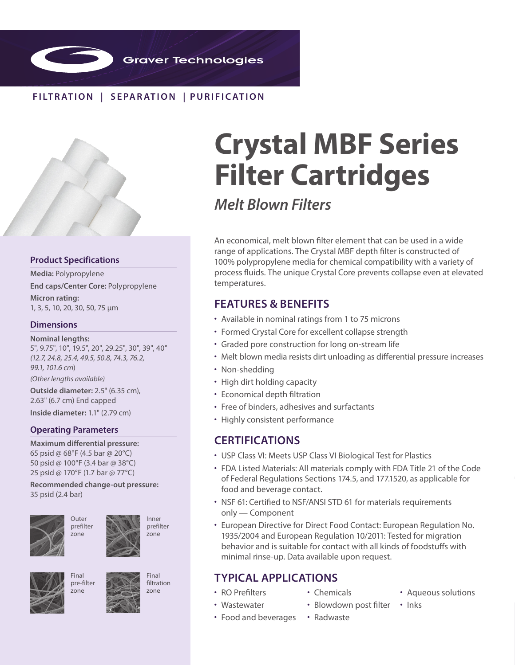

## **FILTR ATION | SEPAR ATION | PURIFIC ATION**



### **Product Specifications**

**Media:** Polypropylene

**End caps/Center Core:** Polypropylene

**Micron rating:**  1, 3, 5, 10, 20, 30, 50, 75 µm

### **Dimensions**

**Nominal lengths:** 5", 9.75", 10", 19.5", 20", 29.25", 30", 39", 40" *(12.7, 24.8, 25.4, 49.5, 50.8, 74.3, 76.2, 99.1, 101.6 cm*) *(Other lengths available)*

**Outside diameter:** 2.5" (6.35 cm), 2.63" (6.7 cm) End capped

**Inside diameter:** 1.1" (2.79 cm)

### **Operating Parameters**

**Maximum differential pressure:**  65 psid @ 68°F (4.5 bar @ 20°C) 50 psid @ 100°F (3.4 bar @ 38°C) 25 psid @ 170°F (1.7 bar @ 77°C)

**Recommended change-out pressure:** 35 psid (2.4 bar)



Outer prefilter zone







Final filtration zone

# **Crystal MBF Series Filter Cartridges**

*Melt Blown Filters*

An economical, melt blown filter element that can be used in a wide range of applications. The Crystal MBF depth filter is constructed of 100% polypropylene media for chemical compatibility with a variety of process fluids. The unique Crystal Core prevents collapse even at elevated temperatures.

# **FEATURES & BENEFITS**

- Available in nominal ratings from 1 to 75 microns
- Formed Crystal Core for excellent collapse strength
- Graded pore construction for long on-stream life
- Melt blown media resists dirt unloading as differential pressure increases
- Non-shedding
- High dirt holding capacity
- Economical depth filtration
- Free of binders, adhesives and surfactants
- Highly consistent performance

## **CERTIFICATIONS**

- USP Class VI: Meets USP Class VI Biological Test for Plastics
- FDA Listed Materials: All materials comply with FDA Title 21 of the Code of Federal Regulations Sections 174.5, and 177.1520, as applicable for food and beverage contact.
- NSF 61: Certified to NSF/ANSI STD 61 for materials requirements only — Component
- European Directive for Direct Food Contact: European Regulation No. 1935/2004 and European Regulation 10/2011: Tested for migration behavior and is suitable for contact with all kinds of foodstuffs with minimal rinse-up. Data available upon request.

# **TYPICAL APPLICATIONS**

- RO Prefilters
- Chemicals
- Aqueous solutions
- Wastewater
- Blowdown post filter
- Food and beverages
- 
- 
- Inks
- Radwaste